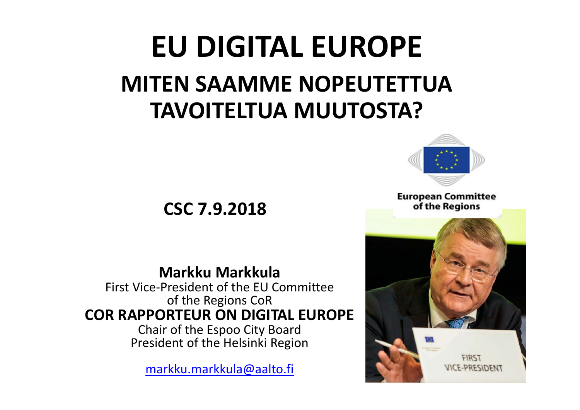# **EU DIGITAL EUROPE MITEN SAAMME NOPEUTETTUA TAVOITELTUA MUUTOSTA?**



## **Markku Markkula**

First Vice‐President of the EU Committee of the Regions CoR **COR RAPPORTEUR ON DIGITAL EUROPE**Chair of the Espoo City Board

President of the Helsinki Region

markku.markkula@aalto.fi



**European Committee** of the Regions

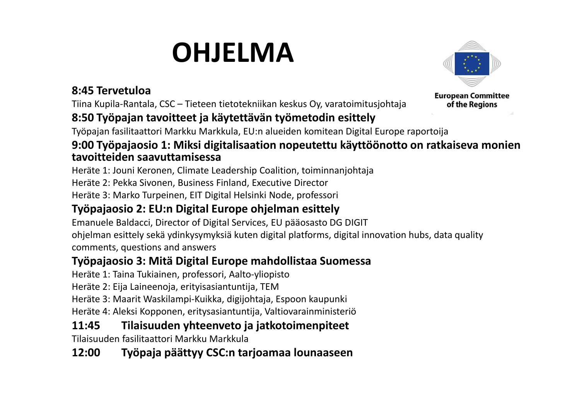# **OHJELMA**



Tiina Kupila‐Rantala, CSC – Tieteen tietotekniikan keskus Oy, varatoimitusjohtaja

#### **8:50 Työpajan tavoitteet ja käytettävän työmetodin esittely**

Työpajan fasilitaattori Markku Markkula, EU:n alueiden komitean Digital Europe raportoija

#### **9:00 Työpajaosio 1: Miksi digitalisaation nopeutettu käyttöönotto on ratkaiseva monien tavoitteiden saavuttamisessa**

Heräte 1: Jouni Keronen, Climate Leadership Coalition, toiminnanjohtaja

Heräte 2: Pekka Sivonen, Business Finland, Executive Director

Heräte 3: Marko Turpeinen, EIT Digital Helsinki Node, professori

#### **Työpajaosio 2: EU:n Digital Europe ohjelman esittely**

Emanuele Baldacci, Director of Digital Services, EU pääosasto DG DIGIT ohjelman esittely sekä ydinkysymyksiä kuten digital platforms, digital innovation hubs, data quality comments, questions and answers

#### **Työpajaosio 3: Mitä Digital Europe mahdollistaa Suomessa**

Heräte 1: Taina Tukiainen, professori, Aalto‐yliopisto

Heräte 2: Eija Laineenoja, erityisasiantuntija, TEM

Heräte 3: Maarit Waskilampi‐Kuikka, digijohtaja, Espoon kaupunki

Heräte 4: Aleksi Kopponen, eritysasiantuntija, Valtiovarainministeriö

#### **11:45 Tilaisuuden yhteenveto ja jatkotoimenpiteet**

Tilaisuuden fasilitaattori Markku Markkula

#### **12:00 Työpaja päättyy CSC:n tarjoamaa lounaaseen**

**European Committee** of the Regions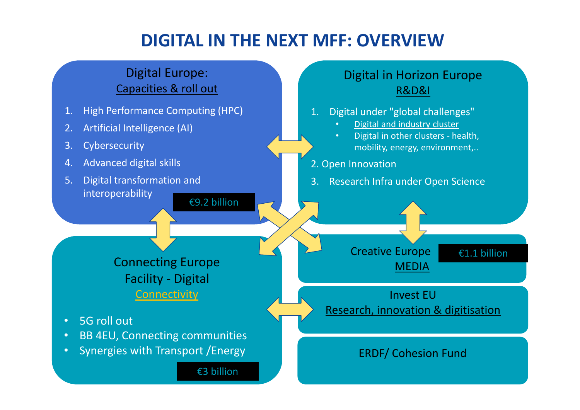# **DIGITAL IN THE NEXT MFF: OVERVIEW**

Digital in Horizon Europe

#### Digital Europe: Capacities & roll out

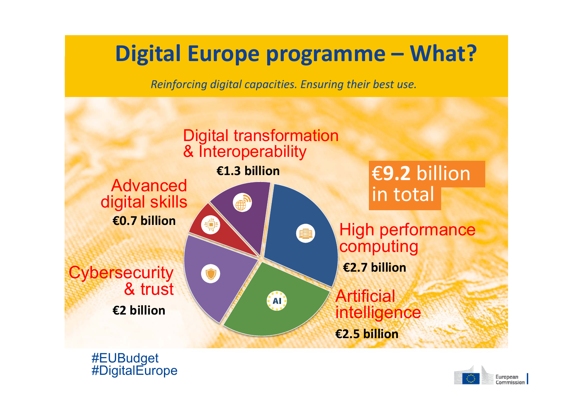# **Digital Europe programme – What?**

*Reinforcing digital capacities. Ensuring their best use.*



#EUBudget #DigitalEurope